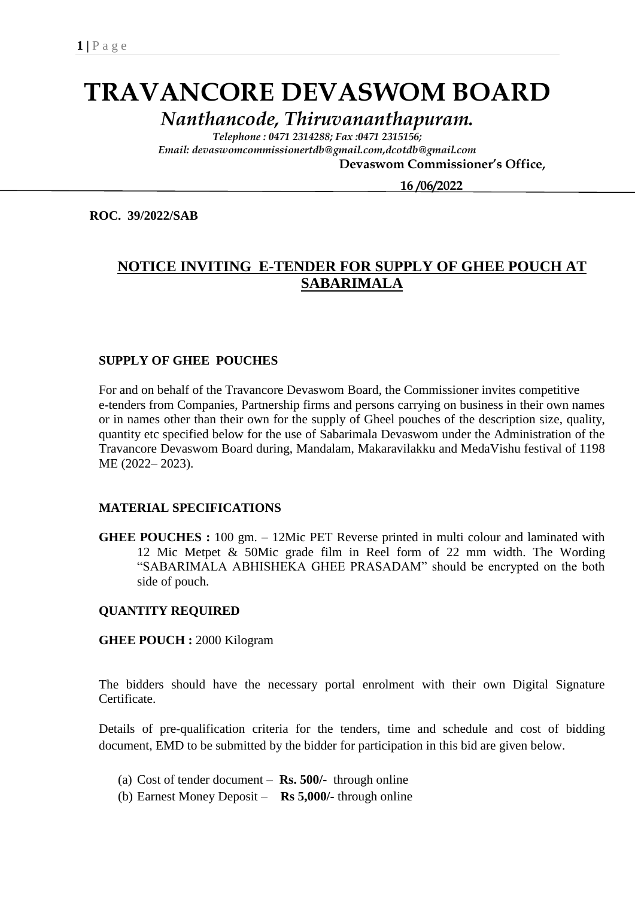# **TRAVANCORE DEVASWOM BOARD**

*Nanthancode, Thiruvananthapuram.*

*Telephone : 0471 2314288; Fax :0471 2315156; Email: devaswomcommissionertdb@gmail.com,dcotdb@gmail.com*

 **Devaswom Commissioner's Office,**

 **16 /06/2022**

**ROC. 39/2022/SAB**

## **NOTICE INVITING E-TENDER FOR SUPPLY OF GHEE POUCH AT SABARIMALA**

#### **SUPPLY OF GHEE POUCHES**

For and on behalf of the Travancore Devaswom Board, the Commissioner invites competitive e-tenders from Companies, Partnership firms and persons carrying on business in their own names or in names other than their own for the supply of Gheel pouches of the description size, quality, quantity etc specified below for the use of Sabarimala Devaswom under the Administration of the Travancore Devaswom Board during, Mandalam, Makaravilakku and MedaVishu festival of 1198 ME (2022– 2023).

#### **MATERIAL SPECIFICATIONS**

**GHEE POUCHES :** 100 gm. – 12Mic PET Reverse printed in multi colour and laminated with 12 Mic Metpet & 50Mic grade film in Reel form of 22 mm width. The Wording "SABARIMALA ABHISHEKA GHEE PRASADAM" should be encrypted on the both side of pouch.

#### **QUANTITY REQUIRED**

**GHEE POUCH :** 2000 Kilogram

The bidders should have the necessary portal enrolment with their own Digital Signature Certificate.

Details of pre-qualification criteria for the tenders, time and schedule and cost of bidding document, EMD to be submitted by the bidder for participation in this bid are given below.

- (a) Cost of tender document **Rs. 500/-** through online
- (b) Earnest Money Deposit **Rs 5,000/-** through online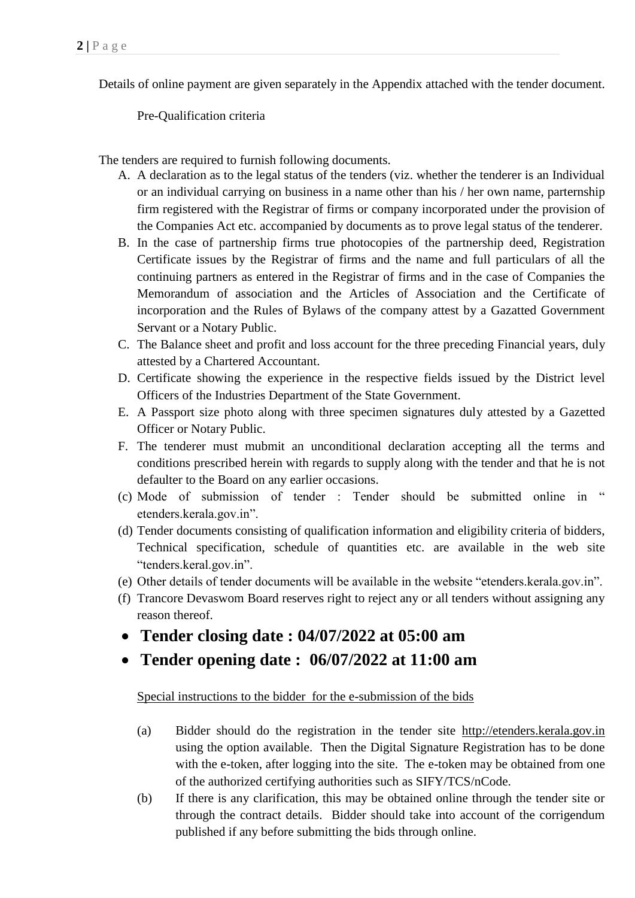Details of online payment are given separately in the Appendix attached with the tender document.

Pre-Qualification criteria

The tenders are required to furnish following documents.

- A. A declaration as to the legal status of the tenders (viz. whether the tenderer is an Individual or an individual carrying on business in a name other than his / her own name, parternship firm registered with the Registrar of firms or company incorporated under the provision of the Companies Act etc. accompanied by documents as to prove legal status of the tenderer.
- B. In the case of partnership firms true photocopies of the partnership deed, Registration Certificate issues by the Registrar of firms and the name and full particulars of all the continuing partners as entered in the Registrar of firms and in the case of Companies the Memorandum of association and the Articles of Association and the Certificate of incorporation and the Rules of Bylaws of the company attest by a Gazatted Government Servant or a Notary Public.
- C. The Balance sheet and profit and loss account for the three preceding Financial years, duly attested by a Chartered Accountant.
- D. Certificate showing the experience in the respective fields issued by the District level Officers of the Industries Department of the State Government.
- E. A Passport size photo along with three specimen signatures duly attested by a Gazetted Officer or Notary Public.
- F. The tenderer must mubmit an unconditional declaration accepting all the terms and conditions prescribed herein with regards to supply along with the tender and that he is not defaulter to the Board on any earlier occasions.
- (c) Mode of submission of tender : Tender should be submitted online in " etenders.kerala.gov.in".
- (d) Tender documents consisting of qualification information and eligibility criteria of bidders, Technical specification, schedule of quantities etc. are available in the web site "tenders.keral.gov.in".
- (e) Other details of tender documents will be available in the website "etenders.kerala.gov.in".
- (f) Trancore Devaswom Board reserves right to reject any or all tenders without assigning any reason thereof.
- **Tender closing date : 04/07/2022 at 05:00 am**
- **Tender opening date : 06/07/2022 at 11:00 am**

Special instructions to the bidder for the e-submission of the bids

- (a) Bidder should do the registration in the tender site http://etenders.kerala.gov.in using the option available. Then the Digital Signature Registration has to be done with the e-token, after logging into the site. The e-token may be obtained from one of the authorized certifying authorities such as SIFY/TCS/nCode.
- (b) If there is any clarification, this may be obtained online through the tender site or through the contract details. Bidder should take into account of the corrigendum published if any before submitting the bids through online.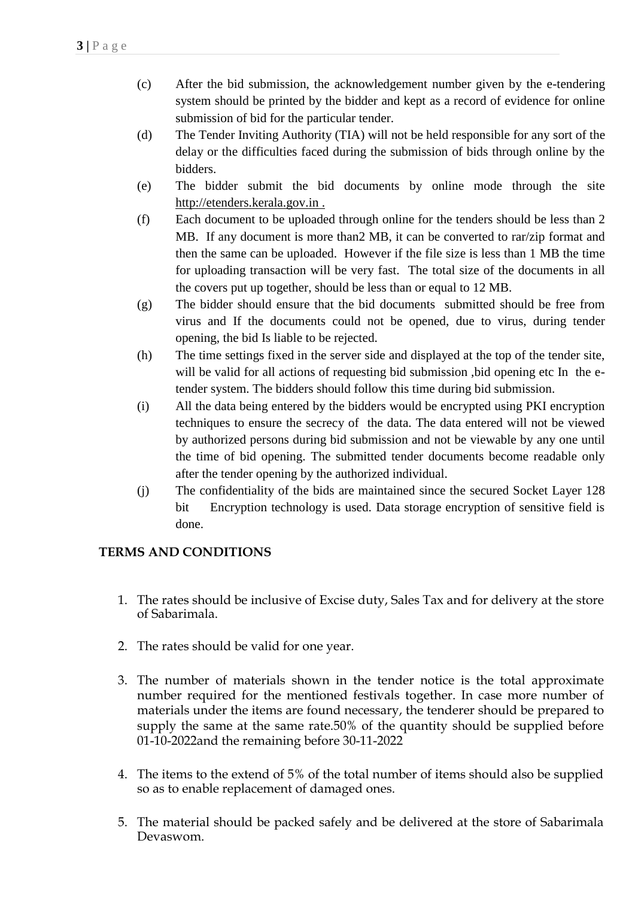- (c) After the bid submission, the acknowledgement number given by the e-tendering system should be printed by the bidder and kept as a record of evidence for online submission of bid for the particular tender.
- (d) The Tender Inviting Authority (TIA) will not be held responsible for any sort of the delay or the difficulties faced during the submission of bids through online by the bidders.
- (e) The bidder submit the bid documents by online mode through the site http://etenders.kerala.gov.in .
- (f) Each document to be uploaded through online for the tenders should be less than 2 MB. If any document is more than2 MB, it can be converted to rar/zip format and then the same can be uploaded. However if the file size is less than 1 MB the time for uploading transaction will be very fast. The total size of the documents in all the covers put up together, should be less than or equal to 12 MB.
- (g) The bidder should ensure that the bid documents submitted should be free from virus and If the documents could not be opened, due to virus, during tender opening, the bid Is liable to be rejected.
- (h) The time settings fixed in the server side and displayed at the top of the tender site, will be valid for all actions of requesting bid submission ,bid opening etc In the etender system. The bidders should follow this time during bid submission.
- (i) All the data being entered by the bidders would be encrypted using PKI encryption techniques to ensure the secrecy of the data. The data entered will not be viewed by authorized persons during bid submission and not be viewable by any one until the time of bid opening. The submitted tender documents become readable only after the tender opening by the authorized individual.
- (j) The confidentiality of the bids are maintained since the secured Socket Layer 128 bit Encryption technology is used. Data storage encryption of sensitive field is done.

### **TERMS AND CONDITIONS**

- 1. The rates should be inclusive of Excise duty, Sales Tax and for delivery at the store of Sabarimala.
- 2. The rates should be valid for one year.
- 3. The number of materials shown in the tender notice is the total approximate number required for the mentioned festivals together. In case more number of materials under the items are found necessary, the tenderer should be prepared to supply the same at the same rate.50% of the quantity should be supplied before 01-10-2022and the remaining before 30-11-2022
- 4. The items to the extend of 5% of the total number of items should also be supplied so as to enable replacement of damaged ones.
- 5. The material should be packed safely and be delivered at the store of Sabarimala Devaswom.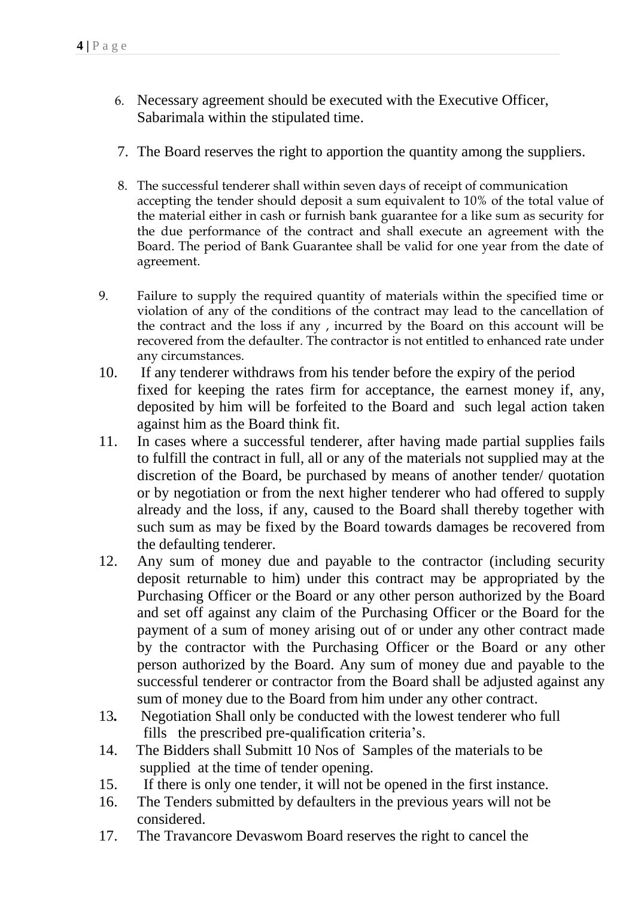- 6. Necessary agreement should be executed with the Executive Officer, Sabarimala within the stipulated time.
- 7. The Board reserves the right to apportion the quantity among the suppliers.
- 8. The successful tenderer shall within seven days of receipt of communication accepting the tender should deposit a sum equivalent to 10% of the total value of the material either in cash or furnish bank guarantee for a like sum as security for the due performance of the contract and shall execute an agreement with the Board. The period of Bank Guarantee shall be valid for one year from the date of agreement.
- 9. Failure to supply the required quantity of materials within the specified time or violation of any of the conditions of the contract may lead to the cancellation of the contract and the loss if any , incurred by the Board on this account will be recovered from the defaulter. The contractor is not entitled to enhanced rate under any circumstances.
- 10. If any tenderer withdraws from his tender before the expiry of the period fixed for keeping the rates firm for acceptance, the earnest money if, any, deposited by him will be forfeited to the Board and such legal action taken against him as the Board think fit.
- 11. In cases where a successful tenderer, after having made partial supplies fails to fulfill the contract in full, all or any of the materials not supplied may at the discretion of the Board, be purchased by means of another tender/ quotation or by negotiation or from the next higher tenderer who had offered to supply already and the loss, if any, caused to the Board shall thereby together with such sum as may be fixed by the Board towards damages be recovered from the defaulting tenderer.
- 12. Any sum of money due and payable to the contractor (including security deposit returnable to him) under this contract may be appropriated by the Purchasing Officer or the Board or any other person authorized by the Board and set off against any claim of the Purchasing Officer or the Board for the payment of a sum of money arising out of or under any other contract made by the contractor with the Purchasing Officer or the Board or any other person authorized by the Board. Any sum of money due and payable to the successful tenderer or contractor from the Board shall be adjusted against any sum of money due to the Board from him under any other contract.
- 13*.* Negotiation Shall only be conducted with the lowest tenderer who full fills the prescribed pre-qualification criteria's.
- 14. The Bidders shall Submitt 10 Nos of Samples of the materials to be supplied at the time of tender opening.
- 15. If there is only one tender, it will not be opened in the first instance.
- 16. The Tenders submitted by defaulters in the previous years will not be considered.
- 17. The Travancore Devaswom Board reserves the right to cancel the